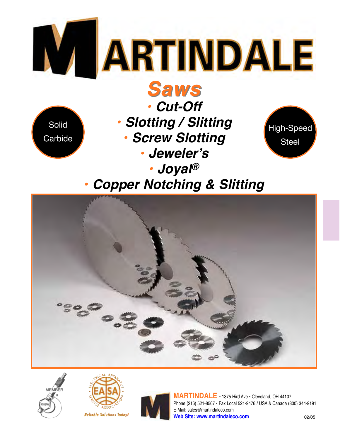

**Copper Notching & Slitting** 









MARTINDALE · 1375 Hird Ave · Cleveland. OH 44107 Phone (216) 521-8567 · Fax Local 521-9476 / USA & Canada (800) 344-9191 E-Mail: sales@martindaleco.com Web Site: www.martindaleco.com  $02/05$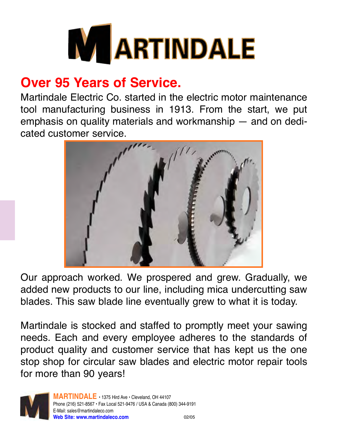

# **Over 95 Years of Service.**

Martindale Flectric Co. started in the electric motor maintenance tool manufacturing business in 1913. From the start, we put emphasis on quality materials and workmanship  $-$  and on dedicated customer service.



Our approach worked. We prospered and grew. Gradually, we added new products to our line, including mica undercutting saw blades. This saw blade line eventually grew to what it is today.

Martindale is stocked and staffed to promptly meet your sawing needs. Each and every employee adheres to the standards of product quality and customer service that has kept us the one stop shop for circular saw blades and electric motor repair tools for more than 90 years!

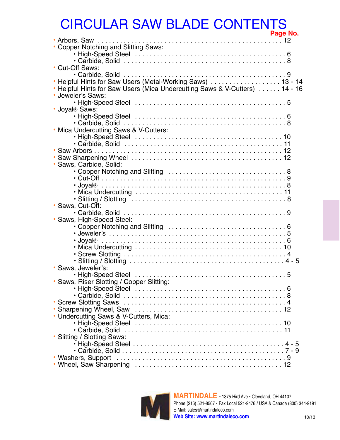# **CIRCULAR SAW BLADE CONTENTS**

|                                                                           | гаус но. |  |
|---------------------------------------------------------------------------|----------|--|
|                                                                           |          |  |
| • Copper Notching and Slitting Saws:                                      |          |  |
|                                                                           |          |  |
|                                                                           |          |  |
| • Cut-Off Saws:                                                           |          |  |
|                                                                           |          |  |
| • Helpful Hints for Saw Users (Metal-Working Saws)  13 - 14               |          |  |
| Helpful Hints for Saw Users (Mica Undercutting Saws & V-Cutters)  14 - 16 |          |  |
| · Jeweler's Saws:                                                         |          |  |
|                                                                           |          |  |
| · Joyal <sup>®</sup> Saws:                                                |          |  |
|                                                                           |          |  |
|                                                                           |          |  |
| • Mica Undercutting Saws & V-Cutters:                                     |          |  |
|                                                                           |          |  |
|                                                                           |          |  |
|                                                                           |          |  |
|                                                                           |          |  |
| Saws, Carbide, Solid:                                                     |          |  |
|                                                                           |          |  |
|                                                                           |          |  |
|                                                                           |          |  |
|                                                                           |          |  |
|                                                                           |          |  |
| • Saws, Cut-Off:                                                          |          |  |
|                                                                           |          |  |
| • Saws, High-Speed Steel:                                                 |          |  |
|                                                                           |          |  |
|                                                                           |          |  |
|                                                                           |          |  |
|                                                                           |          |  |
|                                                                           |          |  |
|                                                                           |          |  |
| · Saws, Jeweler's:                                                        |          |  |
|                                                                           |          |  |
| · Saws, Riser Slotting / Copper Slitting:                                 |          |  |
|                                                                           |          |  |
|                                                                           |          |  |
|                                                                           |          |  |
|                                                                           |          |  |
| • Undercutting Saws & V-Cutters, Mica:                                    |          |  |
|                                                                           |          |  |
|                                                                           |          |  |
|                                                                           |          |  |
| • Slitting / Slotting Saws:                                               |          |  |
|                                                                           |          |  |
|                                                                           |          |  |
|                                                                           |          |  |
|                                                                           |          |  |

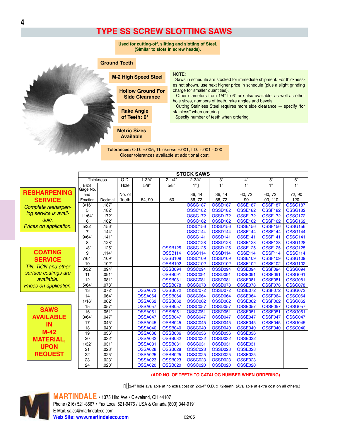### **TYPE SS SCREW SLOTTING SAWS**

#### **Ground Teeth**

**M-2 High Speed Steel** 

**Rake Angle** 

of Teeth: 0°

**Metric Sizes Available** 

**Hollow Ground For** 

**Side Clearance** 



#### NOTE:

Saws in schedule are stocked for immediate shipment. For thicknesses not shown, use next higher price in schedule (plus a slight grinding charge for smaller quantities).

Other diameters from 1/4" to 6" are also available, as well as other hole sizes, numbers of teeth, rake angles and bevels.

Cutting Stainless Steel requires more side clearance - specify "for stainless" when ordering.

Specify number of teeth when ordering.

Tolerances: O.D. ±005; Thickness ±001; I.D. +001 -000 Closer tolerances available at additional cost.

|                        |                 | <b>STOCK SAWS</b> |             |                                  |                                  |                                  |                                  |                                  |                                  |                                  |  |
|------------------------|-----------------|-------------------|-------------|----------------------------------|----------------------------------|----------------------------------|----------------------------------|----------------------------------|----------------------------------|----------------------------------|--|
|                        |                 | <b>Thickness</b>  | O.D.        | $1 - 3/4"$                       | $2 - 1/4"$                       | $2 - 3/4"$                       | 3"                               | 4"                               | 5"                               | 6"                               |  |
|                        | <b>B&amp;S</b>  |                   | <b>Hole</b> | 5/8"                             | 5/8"                             | 1"                               | $\overline{1}$                   | $\overline{1}$                   | $\overline{1}$                   | $\overline{1}$                   |  |
| <b>RESHARPENING</b>    | Gage No.<br>and |                   | No. of      |                                  |                                  | 36, 44                           | 36, 44                           | 60, 72                           | 60, 72                           | 72, 90                           |  |
| <b>SERVICE</b>         | Fraction        | Decimal           | Teeth       | 64, 90                           | 60                               | 56, 72                           | 56, 72                           | 90                               | 90, 110                          | 120                              |  |
|                        | 3/16"           | .187"             |             |                                  |                                  | <b>OSSC187</b>                   | OSSD <sub>187</sub>              | <b>OSSE187</b>                   | <b>OSSF187</b>                   | <b>OSSG187</b>                   |  |
| Complete resharpen-    | 5               | .182"             |             |                                  |                                  | <b>OSSC182</b>                   | <b>OSSD182</b>                   | <b>OSSE182</b>                   | <b>OSSF182</b>                   | <b>OSSG182</b>                   |  |
| ing service is avail-  | 11/64"          | .172"             |             |                                  |                                  | <b>OSSC172</b>                   | <b>OSSD172</b>                   | <b>OSSE172</b>                   | <b>OSSF172</b>                   | <b>OSSG172</b>                   |  |
| able.                  | 6               | .162"             |             |                                  |                                  | <b>OSSC162</b>                   | OSSD <sub>162</sub>              | <b>OSSE162</b>                   | OSSF162                          | OSSG <sub>162</sub>              |  |
| Prices on application. | 5/32"           | .156"             |             |                                  |                                  | <b>OSSC156</b>                   | <b>OSSD156</b>                   | <b>OSSE156</b>                   | <b>OSSF156</b>                   | <b>OSSG156</b>                   |  |
|                        | 7               | .144"             |             |                                  |                                  | <b>OSSC144</b>                   | <b>OSSD144</b>                   | <b>OSSE144</b>                   | OSSF144                          | <b>OSSG144</b>                   |  |
|                        | 9/64"           | .141"             |             |                                  |                                  | <b>OSSC141</b>                   | <b>OSSD141</b>                   | <b>OSSE141</b>                   | OSSF141                          | <b>OSSG141</b>                   |  |
|                        | 8               | .128"             |             |                                  |                                  | <b>OSSC128</b>                   | OSSD128                          | <b>OSSE128</b>                   | OSSF128                          | <b>OSSG128</b>                   |  |
|                        | 1/8"            | .125"             |             |                                  | <b>OSSB125</b>                   | <b>OSSC125</b>                   | <b>OSSD125</b>                   | <b>OSSE125</b>                   | <b>OSSF125</b>                   | <b>OSSG125</b>                   |  |
| <b>COATING</b>         | 9               | .114"             |             |                                  | <b>OSSB114</b>                   | <b>OSSC114</b>                   | OSSD114                          | <b>OSSE114</b>                   | <b>OSSF114</b>                   | <b>OSSG114</b>                   |  |
| <b>SERVICE</b>         | 7/64"           | .109"             |             |                                  | <b>OSSB109</b>                   | <b>OSSC109</b>                   | <b>OSSD109</b>                   | <b>OSSE109</b>                   | <b>OSSF109</b>                   | <b>OSSG109</b>                   |  |
| TiN, TiCN and other    | 10              | .102"             |             |                                  | <b>OSSB102</b>                   | <b>OSSC102</b>                   | <b>OSSD102</b>                   | <b>OSSE102</b>                   | <b>OSSF102</b>                   | <b>OSSG102</b>                   |  |
|                        | 3/32"           | .094"             |             |                                  | <b>OSSB094</b>                   | <b>OSSC094</b>                   | OSSD094                          | <b>OSSE094</b>                   | OSSF094                          | <b>OSSG094</b>                   |  |
| surface coatings are   | 11              | .091"             |             |                                  | <b>OSSB091</b>                   | <b>OSSC091</b>                   | <b>OSSD091</b>                   | <b>OSSE091</b>                   | <b>OSSF091</b>                   | <b>OSSG091</b>                   |  |
| available.             | 12              | .081"             |             |                                  | <b>OSSB081</b>                   | <b>OSSC081</b>                   | <b>OSSD081</b>                   | <b>OSSE081</b>                   | <b>OSSF081</b>                   | <b>OSSG081</b>                   |  |
| Prices on application. | 5/64"           | .078"             |             |                                  | <b>OSSB078</b>                   | <b>OSSC078</b>                   | <b>OSSD078</b>                   | <b>OSSE078</b>                   | OSSF078                          | <b>OSSG078</b>                   |  |
|                        | 13              | .072"             |             | <b>OSSA072</b>                   | <b>OSSB072</b>                   | <b>OSSC072</b>                   | <b>OSSD072</b>                   | <b>OSSE072</b>                   | <b>OSSF072</b>                   | <b>OSSG072</b>                   |  |
|                        | 14              | .064"             |             | <b>OSSA064</b>                   | <b>OSSB064</b>                   | <b>OSSC064</b>                   | OSSD <sub>064</sub>              | <b>OSSE064</b>                   | OSSF064                          | <b>OSSG064</b>                   |  |
|                        | 1/16"           | .062"             |             | <b>OSSA062</b>                   | <b>OSSB062</b>                   | <b>OSSC062</b>                   | <b>OSSD062</b>                   | <b>OSSE062</b>                   | <b>OSSF062</b>                   | <b>OSSG062</b>                   |  |
| <b>SAWS</b>            | 15              | .057"             |             | <b>OSSA057</b>                   | <b>OSSB057</b>                   | <b>OSSC057</b>                   | <b>OSSD057</b>                   | <b>OSSE057</b>                   | <b>OSSF057</b>                   | <b>OSSG057</b>                   |  |
| <b>AVAILABLE</b>       | 16              | .051"<br>.047"    |             | <b>OSSA051</b>                   | <b>OSSB051</b><br><b>OSSB047</b> | <b>OSSC051</b><br><b>OSSC047</b> | <b>OSSD051</b><br><b>OSSD047</b> | <b>OSSE051</b><br><b>OSSE047</b> | <b>OSSF051</b><br><b>OSSF047</b> | <b>OSSG051</b><br><b>OSSG047</b> |  |
|                        | 3/64"<br>17     | .045"             |             | <b>OSSA047</b><br><b>OSSA045</b> | <b>OSSB045</b>                   | <b>OSSC045</b>                   | <b>OSSD045</b>                   | <b>OSSE045</b>                   | OSSF045                          | <b>OSSG045</b>                   |  |
| IN                     | 18              | .040"             |             | <b>OSSA040</b>                   | <b>OSSB040</b>                   | <b>OSSC040</b>                   | <b>OSSD040</b>                   | <b>OSSE040</b>                   | <b>OSSF040</b>                   | <b>OSSG040</b>                   |  |
| $M-42$                 | 19              | .036"             |             | <b>OSSA036</b>                   | <b>OSSB036</b>                   | <b>OSSC036</b>                   | <b>OSSD036</b>                   | <b>OSSE036</b>                   |                                  |                                  |  |
| <b>MATERIAL,</b>       | 20              | .032"             |             | <b>OSSA032</b>                   | <b>OSSB032</b>                   | <b>OSSC032</b>                   | <b>OSSD032</b>                   | <b>OSSE032</b>                   |                                  |                                  |  |
|                        | 1/32"           | .031"             |             | <b>OSSA031</b>                   | <b>OSSB031</b>                   | <b>OSSC031</b>                   | <b>OSSD031</b>                   | <b>OSSE031</b>                   |                                  |                                  |  |
| <b>UPON</b>            | 21              | .028"             |             | <b>OSSA028</b>                   | <b>OSSB028</b>                   | <b>OSSC028</b>                   | <b>OSSD028</b>                   | <b>OSSE028</b>                   |                                  |                                  |  |
| <b>REQUEST</b>         | 22              | .025"             |             | <b>OSSA025</b>                   | <b>OSSB025</b>                   | <b>OSSC025</b>                   | <b>OSSD025</b>                   | <b>OSSE025</b>                   |                                  |                                  |  |
|                        | 23              | .023"             |             | <b>OSSA023</b>                   | <b>OSSB023</b>                   | <b>OSSC023</b>                   | <b>OSSD023</b>                   | <b>OSSE023</b>                   |                                  |                                  |  |
|                        | 24              | .020"             |             | <b>OSSA020</b>                   | <b>OSSB020</b>                   | <b>OSSC020</b>                   | <b>OSSD020</b>                   | <b>OSSE020</b>                   |                                  |                                  |  |

#### (ADD NO. OF TEETH TO CATALOG NUMBER WHEN ORDERING)

[3/4" hole available at no extra cost on 2-3/4" O.D. x 72-teeth. (Available at extra cost on all others.)



MARTINDALE · 1375 Hird Ave · Cleveland, OH 44107 Phone (216) 521-8567 · Fax Local 521-9476 / USA & Canada (800) 344-9191 E-Mail: sales@martindaleco.com Web Site: www.martindaleco.com  $02/05$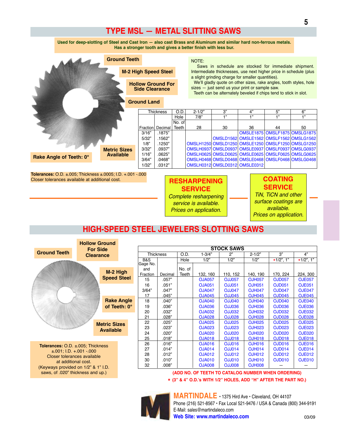### **TYPE MSL - METAL SLITTING SAWS**

Used for deep-slotting of Steel and Cast Iron - also cast Brass and Aluminum and similar hard non-ferrous metals. Has a stronger tooth and gives a better finish with less bur.

|                                                                                 | <b>Ground Teeth</b> |                                                   |                             |        | NOTE:                                                                                                                                                                                                                                         |                                                   | Saws in schedule are stocked for immediate shipment. |                                                                   |                               |  |  |
|---------------------------------------------------------------------------------|---------------------|---------------------------------------------------|-----------------------------|--------|-----------------------------------------------------------------------------------------------------------------------------------------------------------------------------------------------------------------------------------------------|---------------------------------------------------|------------------------------------------------------|-------------------------------------------------------------------|-------------------------------|--|--|
|                                                                                 |                     |                                                   | <b>M-2 High Speed Steel</b> |        |                                                                                                                                                                                                                                               |                                                   |                                                      | Intermediate thicknesses, use next higher price in schedule (plus |                               |  |  |
|                                                                                 |                     | <b>Hollow Ground For</b><br><b>Side Clearance</b> |                             |        | a slight grinding charge for smaller quantities).<br>We'll gladly quote on other sizes, rake angles, tooth styles, hole<br>sizes - just send us your print or sample saw.<br>Teeth can be alternately beveled if chips tend to stick in slot. |                                                   |                                                      |                                                                   |                               |  |  |
|                                                                                 |                     | <b>Ground Land</b>                                |                             |        |                                                                                                                                                                                                                                               |                                                   |                                                      |                                                                   |                               |  |  |
|                                                                                 |                     |                                                   | Thickness                   | O.D.   | $2 - 1/2"$                                                                                                                                                                                                                                    | 3"                                                | 4"                                                   | 5"                                                                | 6"                            |  |  |
|                                                                                 |                     |                                                   |                             | Hole   | 7/8"                                                                                                                                                                                                                                          | $+$ "                                             | 4, 99                                                | $+$ "                                                             | 1"                            |  |  |
|                                                                                 |                     |                                                   |                             | No. of |                                                                                                                                                                                                                                               |                                                   |                                                      |                                                                   |                               |  |  |
|                                                                                 |                     | Fraction                                          | Decimal                     | Teeth  | 28                                                                                                                                                                                                                                            | 30                                                | 36                                                   | 44                                                                | 50                            |  |  |
|                                                                                 |                     | 3/16"                                             | .1875"                      |        |                                                                                                                                                                                                                                               |                                                   |                                                      |                                                                   | OMSLE1875 OMSLF1875 OMSLG1875 |  |  |
|                                                                                 |                     | 5/32"                                             | .1562"                      |        |                                                                                                                                                                                                                                               |                                                   | OMSLD1562 OMSLE1562 OMSLF1562 OMSLG1562              |                                                                   |                               |  |  |
|                                                                                 |                     | 1/8"                                              | .1250"                      |        |                                                                                                                                                                                                                                               | OMSLH1250 OMSLD1250 OMSLE1250 OMSLF1250 OMSLG1250 |                                                      |                                                                   |                               |  |  |
|                                                                                 | <b>Metric Sizes</b> | 3/32"                                             | .0937"                      |        |                                                                                                                                                                                                                                               | OMSLH0937 OMSLD0937 OMSLE0937 OMSLF0937 OMSLG0937 |                                                      |                                                                   |                               |  |  |
|                                                                                 | <b>Available</b>    | 1/16"                                             | .0625"                      |        |                                                                                                                                                                                                                                               | OMSLH0625 OMSLD0625 OMSLE0625 OMSLF0625 OMSLG0625 |                                                      |                                                                   |                               |  |  |
| Rake Angle of Teeth: 0°                                                         |                     | 3/64"                                             | .0468"                      |        |                                                                                                                                                                                                                                               | OMSLH0468 OMSLD0468 OMSLE0468 OMSLF0468 OMSLG0468 |                                                      |                                                                   |                               |  |  |
|                                                                                 |                     | 1/32"                                             | .0312"                      |        |                                                                                                                                                                                                                                               | OMSLH0312 OMSLD0312 OMSLE0312                     |                                                      |                                                                   |                               |  |  |
| $T$ olerances: $\bigcap_{n=1}^{\infty}$ + 005; Thickness + 0005; LD + 001 - 000 |                     |                                                   |                             |        |                                                                                                                                                                                                                                               |                                                   |                                                      |                                                                   |                               |  |  |

**Tolerances:** O.D. ± 005: Thickness ± 0005: T.D. + 001 - 000 Closer tolerances available at additional cost.

### **RESHARPENING SERVICE Complete resharpening**

service is available. Prices on application.

### **COATING SERVICE**

**TiN.** TiCN and other surface coatings are available. Prices on application.

## **HIGH-SPEED STEEL JEWELERS SLOTTING SAWS**

|                                                                                                                                                                    |  | <b>Hollow Ground</b> |                     |          |                  |        |               |                   |               |                                                    |               |
|--------------------------------------------------------------------------------------------------------------------------------------------------------------------|--|----------------------|---------------------|----------|------------------|--------|---------------|-------------------|---------------|----------------------------------------------------|---------------|
|                                                                                                                                                                    |  | <b>For Side</b>      |                     |          |                  |        |               | <b>STOCK SAWS</b> |               |                                                    |               |
| <b>Ground Teeth</b>                                                                                                                                                |  | <b>Clearance</b>     |                     |          | <b>Thickness</b> | O.D.   | $1 - 3/4"$    | 2"                | $2 - 1/2"$    | 3"                                                 | 4"            |
|                                                                                                                                                                    |  |                      | <b>B&amp;S</b>      |          |                  | Hole   | 1/2"          | 1/2"              | 1/2"          | $\star$ 1/2", 1"                                   | $*1/2$ ", 1"  |
|                                                                                                                                                                    |  |                      |                     | Gage No. |                  |        |               |                   |               |                                                    |               |
|                                                                                                                                                                    |  | M-2 High             |                     | and      |                  | No. of |               |                   |               |                                                    |               |
|                                                                                                                                                                    |  | <b>Speed Steel</b>   |                     | Fraction | Decimal          | Teeth  | 132, 160      | 110, 152          | 140, 190      | 170, 224                                           | 224, 300      |
|                                                                                                                                                                    |  |                      |                     | 15       | .057"            |        | <b>OJA057</b> | <b>OJJ057</b>     | <b>OJH057</b> | <b>OJD057</b>                                      | <b>OJE057</b> |
| <b>Rake Angle</b>                                                                                                                                                  |  |                      |                     | 16       | .051"            |        | <b>OJA051</b> | <b>OJJ051</b>     | <b>OJH051</b> | <b>OJD051</b>                                      | <b>OJE051</b> |
|                                                                                                                                                                    |  |                      |                     | 3/64"    | .047"            |        | <b>OJA047</b> | <b>OJJ047</b>     | <b>OJH047</b> | <b>OJD047</b>                                      | <b>OJE047</b> |
|                                                                                                                                                                    |  |                      |                     | 17       | .045"            |        | <b>OJA045</b> | <b>OJJ045</b>     | <b>OJH045</b> | <b>OJD045</b>                                      | <b>OJE045</b> |
|                                                                                                                                                                    |  |                      |                     | 18       | .040"            |        | <b>OJA040</b> | <b>OJJ040</b>     | <b>OJH040</b> | <b>OJD040</b>                                      | <b>OJE040</b> |
|                                                                                                                                                                    |  |                      | of Teeth: $0^\circ$ | 19       | .036"            |        | <b>OJA036</b> | <b>OJJ036</b>     | <b>OJH036</b> | <b>OJD036</b>                                      | <b>OJE036</b> |
|                                                                                                                                                                    |  |                      |                     | 20       | .032"            |        | <b>OJA032</b> | <b>OJJ032</b>     | <b>OJH032</b> | <b>OJD032</b>                                      | <b>OJE032</b> |
|                                                                                                                                                                    |  |                      |                     | 21       | .028"            |        | <b>OJA028</b> | <b>OJJ028</b>     | <b>OJH028</b> | <b>OJD028</b>                                      | <b>OJE028</b> |
|                                                                                                                                                                    |  | <b>Metric Sizes</b>  |                     | 22       | .025"            |        | <b>OJA025</b> | <b>OJJ025</b>     | <b>OJH025</b> | <b>OJD025</b>                                      | <b>OJE025</b> |
|                                                                                                                                                                    |  | <b>Available</b>     |                     | 23       | .023"            |        | <b>OJA023</b> | <b>OJJ023</b>     | <b>OJH023</b> | <b>OJD023</b>                                      | <b>OJE023</b> |
|                                                                                                                                                                    |  |                      |                     | 24       | .020"            |        | <b>OJA020</b> | <b>OJJ020</b>     | <b>OJH020</b> | <b>OJD020</b>                                      | <b>OJE020</b> |
|                                                                                                                                                                    |  |                      |                     | 25       | .018"            |        | <b>OJA018</b> | <b>OJJ018</b>     | <b>OJH018</b> | <b>OJD018</b>                                      | <b>OJE018</b> |
| <b>Tolerances:</b> $O.D. \pm .005$ ; Thickness                                                                                                                     |  |                      |                     | 26       | .016"            |        | <b>OJA016</b> | <b>OJJ016</b>     | <b>OJH016</b> | <b>OJD016</b>                                      | <b>OJE016</b> |
|                                                                                                                                                                    |  |                      |                     | 27       | .014"            |        | <b>OJA014</b> | <b>OJJ014</b>     | <b>OJH014</b> | <b>OJD014</b>                                      | <b>OJE014</b> |
| $\pm 001$ ; I.D. $\pm 001 - 000$<br>Closer tolerances available<br>at additional cost.<br>(Keyways provided on 1/2" & 1" I.D.<br>saws, of .020" thickness and up.) |  |                      |                     | 28       | .012"            |        | <b>OJA012</b> | OJJ012            | <b>OJH012</b> | <b>OJD012</b>                                      | <b>OJE012</b> |
|                                                                                                                                                                    |  |                      |                     | 30       | .010"            |        | <b>OJA010</b> | <b>OJJ010</b>     | <b>OJH010</b> | <b>OJD010</b>                                      | <b>OJE010</b> |
|                                                                                                                                                                    |  |                      |                     | 32       | .008"            |        | <b>OJA008</b> | <b>OJJ008</b>     | <b>OJH008</b> |                                                    |               |
|                                                                                                                                                                    |  |                      |                     |          |                  |        |               |                   |               | (ADD NO. OF TEETH TO CATALOG NUMBER WHEN ORDERING) |               |

\* (3" & 4" O.D.'s WITH 1/2" HOLES, ADD "H" AFTER THE PART NO.)



MARTINDALE . 1375 Hird Ave . Cleveland, OH 44107 Phone (216) 521-8567 · Fax Local 521-9476 / USA & Canada (800) 344-9191 E-Mail: sales@martindaleco.com Web Site: www.martindaleco.com 03/09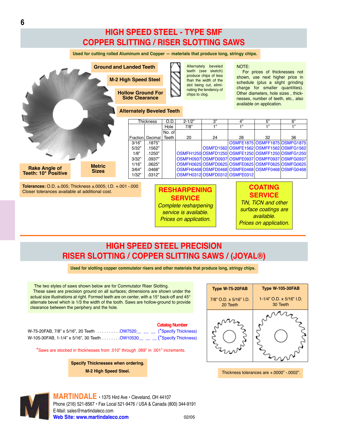## **HIGH SPEED STEEL - TYPE SMF COPPER SLITTING / RISER SLOTTING SAWS**

**Used for cutting rolled Aluminum and Copper — materials that produce long, stringy chips.**



## **HIGH SPEED STEEL PRECISION RISER SLOTTING / COPPER SLITTING SAWS / (JOYAL®)**

*service is available. Prices on application.*

**Used for slotting copper commutator risers and other materials that produce long, stringy chips.**

**Catalog Number**

The two styles of saws shown below are for Commutator Riser Slotting. These saws are precision ground on all surfaces; dimensions are shown under the actual size illustrations at right. Formed teeth are on center, with a 15 $^{\circ}$  back-off and 45 $^{\circ}$ alternate bevel which is 1/3 the width of the tooth. Saws are hollow-ground to provide clearance between the periphery and the hole.

|                                                                           | <b>Caldiug Null IDEI</b> |
|---------------------------------------------------------------------------|--------------------------|
| W-75-20FAB, 7/8" x 5/16", 20 Teeth OW7520___ __ (*Specify Thickness)      |                          |
| W-105-30FAB, 1-1/4" x 5/16", 30 Teeth  OW10530__ _ _ (*Specify Thickness) |                          |

\*Saws are stocked in thicknesses from .010" through .069" in .001" increments.

**Specify Thicknesses when ordering. M-2 High Speed Steel.**



*available. Prices on application.*

Thickness tolerances are +.0000" -.0002".

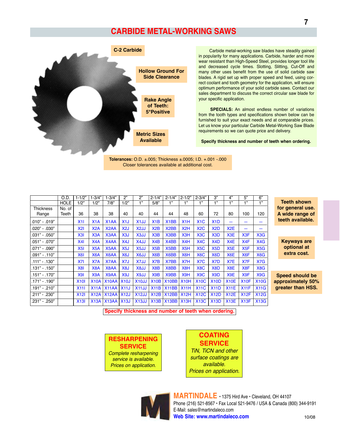### **CARBIDE METAL-WORKING SAWS**



Carbide metal-working saw blades have steadily gained in popularity for many applications. Carbide, harder and more wear resistant than High-Speed Steel, provides longer tool life and decreased cycle times. Slotting, Slitting, Cut-Off and many other uses benefit from the use of solid carbide saw blades. A rigid set up with proper speed and feed, using correct coolant and tooth geometry for the application, will ensure optimum performance of your solid carbide saws. Contact our sales department to discuss the correct circular saw blade for your specific application.

**SPECIALS:** An almost endless number of variations from the tooth types and specifications shown below can be furnished to suit your exact needs and at comparable prices. Let us know your particular Carbide Metal-Working Saw Blade requirements so we can quote price and delivery.

Specify thickness and number of teeth when ordering.

Tolerances: O.D. ±.005; Thickness ±.0005; I.D. +.001 -.000 Closer tolerances available at additional cost.

|                  | O.D.        | $1 - 1/2"$     | $1 - 3/4"$       | $1 - 3/4"$        | 2"               | 2"                 | $2 - 1/4"$       | $2 - 1/4"$        | $2 - 1/2"$       | $2 - 3/4"$       | 3"               | $\overline{4}$   | 5"                       | 6"               |                     |
|------------------|-------------|----------------|------------------|-------------------|------------------|--------------------|------------------|-------------------|------------------|------------------|------------------|------------------|--------------------------|------------------|---------------------|
|                  | <b>HOLE</b> | 1/2"           | 1/2"             | 7/8"              | 1/2"             | 1"                 | 5/8"             | 1"                | 1"               | 1"               | 1"               | 1"               | 1"                       | 1"               | <b>Teeth show</b>   |
| <b>Thickness</b> | No. of      |                |                  |                   |                  |                    |                  |                   |                  |                  |                  |                  |                          |                  | for general u       |
| Range            | Teeth       | 36             | 38               | 38                | 40               | 40                 | 44               | 44                | 48               | 60               | 72               | 80               | 100                      | 120              | A wide range        |
| $.010" - .019"$  |             | X11            | X1A              | X <sub>1</sub> AA | X1J              | X <sub>1</sub> JJ  | X1B              | X <sub>1</sub> BB | X1H              | X1C              | X1D              | -                | –                        | -                | teeth availat       |
| .020" - .030"    |             | X2I            | X <sub>2</sub> A | X <sub>2</sub> AA | X <sub>2</sub> J | X <sub>2</sub> JJ  | X2B              | X <sub>2</sub> BB | X2H              | X2C              | X <sub>2</sub> D | X2E              | $\overline{\phantom{0}}$ | -                |                     |
| .031" - .050"    |             | X3I            | X <sub>3</sub> A | X3AA              | X3J              | X3JJ               | X3B              | X3BB              | X <sub>3</sub> H | X3C              | X <sub>3</sub> D | X3E              | X <sub>3</sub> F         | X <sub>3</sub> G |                     |
| .051" - .070"    |             | X41            | X4A              | X4AA              | X <sub>4</sub> J | X4JJ               | X4B              | X4BB              | X <sub>4</sub> H | X <sub>4</sub> C | X <sub>4</sub> D | X <sub>4</sub> E | X <sub>4</sub> F         | X4G              | Keyways a           |
| .071" - .090"    |             | X5I            | X <sub>5</sub> A | X5AA              | X <sub>5</sub> J | X5JJ               | X5B              | X <sub>5</sub> BB | X <sub>5</sub> H | X <sub>5</sub> C | X <sub>5</sub> D | X <sub>5</sub> E | X <sub>5</sub> F         | X <sub>5</sub> G | optional a          |
| .091" - .110"    |             | X <sub>6</sub> | X <sub>6</sub> A | X6AA              | X <sub>6</sub> J | X6JJ               | X6B              | X6BB              | X <sub>6</sub> H | X <sub>6</sub> C | X <sub>6</sub> D | X <sub>6</sub> E | X <sub>6</sub> F         | X <sub>6</sub> G | extra cost          |
| $.111" - .130"$  |             | X7I            | X7A              | X7AA              | X7J              | X7JJ               | X <sub>7</sub> B | X7BB              | X7H              | X <sub>7</sub> C | X <sub>7</sub> D | X7E              | X7F                      | X7G              |                     |
| .131" - .150"    |             | X8I            | X8A              | X8AA              | X <sub>8</sub> J | X8JJ               | X8B              | X8BB              | X <sub>8</sub> H | X <sub>8</sub> C | X <sub>8</sub> D | X <sub>8</sub> E | X8F                      | X8G              |                     |
| .151" - .170"    |             | X91            | X9A              | X9AA              | X <sub>9</sub> J | X9JJ               | X <sub>9</sub> B | X9BB              | X <sub>9</sub> H | X <sub>9</sub> C | X <sub>9</sub> D | X <sub>9</sub> E | X <sub>9</sub> F         | X9G              | <b>Speed should</b> |
| .171" - .190"    |             | <b>X101</b>    | <b>X10A</b>      | <b>X10AA X10J</b> |                  | X <sub>10</sub> JJ | X10B             | X10BB             | X10H             | <b>X10C</b>      | <b>X10D</b>      | <b>X10E</b>      | X10F                     | <b>X10G</b>      | approximately       |
| .191" - .210"    |             | X111           | X11A             | <b>X11AA X11J</b> |                  | X <sub>11</sub> JJ | X11B             | X11BB             | X11H             | <b>X11C</b>      | X11D             | X11E             | X11F                     | X11G             | greater than I      |
| .211" - .230"    |             | X12I           | <b>X12A</b>      | <b>X12AA X12J</b> |                  | <b>X12JJ</b>       | X12B             | X12BB             | X12H             | <b>X12C</b>      | <b>X12D</b>      | X12E             | X12F                     | <b>X12G</b>      |                     |
| .231" - .250"    |             | X13I           | X13A             | <b>X13AA X13J</b> |                  | X13JJ              | X13B             | X13BB             | X13H             | <b>X13C</b>      | X13D             | X13E             | X13F                     | <b>X13G</b>      |                     |

 $\overline{m}$ ise. e of ɔle.

> re it.

d be 50% HSS.

Specify thickness and number of teeth when ordering.

### **RESHARPENING SERVICE**

Complete resharpening service is available. Prices on application.

**COATING SERVICE** TiN, TiCN and other surface coatings are available. Prices on application.



MARTINDALE . 1375 Hird Ave . Cleveland, OH 44107 Phone (216) 521-8567 · Fax Local 521-9476 / USA & Canada (800) 344-9191 E-Mail: sales@martindaleco.com Web Site: www.martindaleco.com 10/08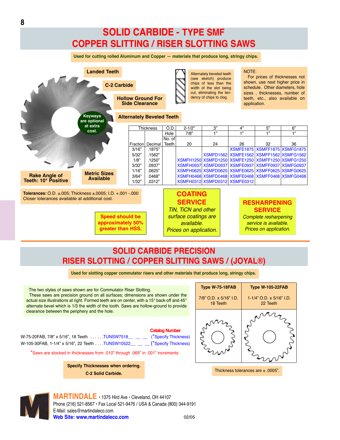## **SOLID CARBIDE - TYPE SMF COPPER SLITTING / RISER SLOTTING SAWS**

**Used for cutting rolled Aluminum and Copper — materials that produce long, stringy chips.**



### **SOLID CARBIDE PRECISION RISER SLOTTING / COPPER SLITTING SAWS / (JOYAL®)**

**Used for slotting copper commutator risers and other materials that produce long, stringy chips.**

The two styles of saws shown are for Commutator Riser Slotting. These saws are precision ground on all surfaces; dimensions are shown under the actual size illustrations at right. Formed teeth are on center, with a 15° back-off and 45° alternate bevel which is 1/3 the width of the tooth. Saws are hollow-ground to provide clearance between the periphery and the hole.

### **Catalog Number**

W-75-20FAB, 7/8" x 5/16", 18 Teeth . . . . . TUNSW7518\_\_\_ \_\_ \_\_ (<sup>\*</sup>Specify Thickness) W-105-30FAB, 1-1/4" x 5/16", 22 Teeth . . . TUNSW10522\_\_ \_\_ \_\_ (\*Specify Thickness)

\*Saws are stocked in thicknesses from .010" through .069" in .001" increments.

**Specify Thicknesses when ordering. C-2 Solid Carbide.**



Thickness tolerances are  $\pm$  .0005".

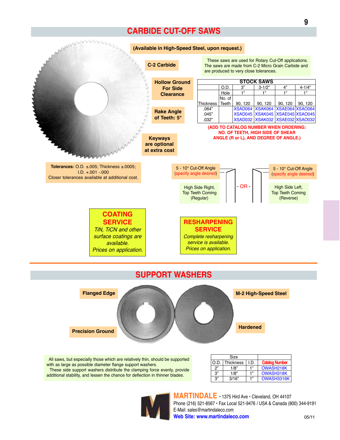### **CARBIDE CUT-OFF SAWS**





All saws, but especially those which are relatively thin, should be supported with as large as possible diameter flange support washers. These side support washers distribute the clamping force evenly, provide additional stability, and lessen the chance for deflection in thinner blades.

|      | Size             |     |                        |
|------|------------------|-----|------------------------|
| O.D. | <b>Thickness</b> | ID. | <b>Catalog Number</b>  |
| ጋ"   | 1/8"             | 1"  | OWASH <sub>218</sub> K |
| 3"   | 1/8"             | 1"  | OWASH318K              |
| 3"   | 3/16"            | 1"  | OWASH3316K             |

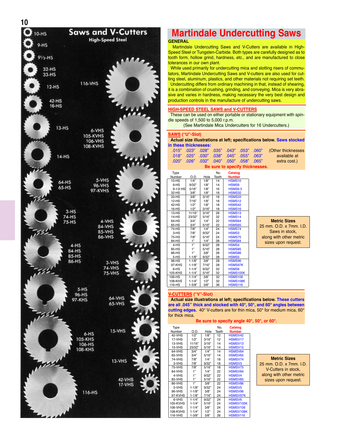

## **Martindale Undercutting Saws**

#### **GENERAL**

Martindale Undercutting Saws and V-Cutters are available in High-Speed Steel or Tungsten-Carbide. Both types are carefully designed as to tooth form, hollow grind, hardness, etc., and are manufactured to close tolerances in our own plant.

While used primarily for undercutting mica and slotting risers of commutators, Martindale Undercutting Saws and V-cutters are also used for cutting steel, aluminum, plastics, and other materials not requiring set teeth. Undercutting differs from ordinary machining in that, instead of shearing, it is a combination of crushing, grinding, and conveying. Mica is very abrasive and varies in hardness, making necessary the very best design and production controls in the manufacture of undercutting saws.

#### **HIGH-SPEED STEEL SAWS and V-CUTTERS**

These can be used on either portable or stationary equipment with spindle speeds of 1,500 to 5,000 r.p.m.

(See Martindale Mica Undercutters for 16 Undercutters.)

#### **SAWS ("U"-Slot)**

**Actual size illustrations at left; specifications below. Saws stocked in these thicknesses:**

|                                |  |  |                                           |  |  |  | .015" .023" .028" .035" .043" .053" .060" (Other thicknesses |  |  |  |
|--------------------------------|--|--|-------------------------------------------|--|--|--|--------------------------------------------------------------|--|--|--|
|                                |  |  | .018" .025" .030" .038" .045" .055" .018" |  |  |  | available at                                                 |  |  |  |
|                                |  |  | .020" .026" .032" .040" .050" .058" .020" |  |  |  | extra cost.)                                                 |  |  |  |
| Re cure to enecify thickneeses |  |  |                                           |  |  |  |                                                              |  |  |  |

#### **Be sure to specify thicknesses.**

| Type           |            |       | No.   | Catalog            |
|----------------|------------|-------|-------|--------------------|
| Number         | O.D.       | Hole  | Teeth | <b>Number</b>      |
| 10-HS          | 1/4"       | 1/8"  | 14    | <b>HSMS10</b>      |
| $9-HS$         | 9/32"      | 1/8"  | 14    | HSMS9              |
| $9 - 1/2 - HS$ | 5/16"      | 1/8"  | 16    | <b>HSMS9.5</b>     |
| 32-HS          | 3/8"       | 1/8"  | 18    | HSMS32             |
| $33-HS$        | 3/8"       | 3/16" | 18    | HSMS33             |
| 12-HS          | 7/16"      | 1/8"  | 18    | HSMS <sub>12</sub> |
| 42-HS          | 1/2"       | 1/8"  | 18    | HSMS42             |
| 16-HS          | 1/2"       | 3/16" | 18    | <b>HSMS16</b>      |
| $13-HS$        | 11/16"     | 3/16" | 28    | HSMS <sub>13</sub> |
| 14-HS          | 23/32"     | 5/16" | 32    | HSMS <sub>14</sub> |
| 64-HS          | 3/4"       | 1/4"  | 22    | HSMS64             |
| 65-HS          | 3/4"       | 5/16" | 22    | <b>HSMS65</b>      |
| 74-HS          | 7/8"       | 1/4"  | 24    | <b>HSMS74</b>      |
| 3-HS           | 7/8"       | 9/32" | 24    | HSMS3              |
| 75-HS          | 7/8"       | 5/16" | 24    | HSMS75             |
| 84-HS          | 1"         | 1/4"  | 28    | HSMS84             |
| 4-HS           | 1"         | 9/32" | 28    | HSMS4              |
| 85-HS          | 1"         | 5/16" | 28    | <b>HSMS85</b>      |
| 86-HS          | 1"         | 3/8"  | 28    | HSMS86             |
| 5-HS           | $1 - 1/8"$ | 9/32" | 28    | HSMS5              |
| 96-HS          | $1 - 1/8"$ | 3/8"  | 28    | HSMS96             |
| 97-KHS         | $1 - 1/8"$ | 7/16" | 28    | <b>HSMS97K</b>     |
| 6-HS           | $1 - 1/4"$ | 9/32" | 32    | HSMS6              |
| 105-KHS        | $1 - 1/4"$ | 5/16" | 32    | <b>HSMS105K</b>    |
| 106-HS         | $1 - 1/4"$ | 3/8"  | 32    | <b>HSMS106</b>     |
| 108-KHS        | $1 - 1/4"$ | 1/2"  | 32    | <b>HSMS108K</b>    |
| 116-HS         | $1 - 3/8"$ | 3/8"  | 36    | <b>HSMS116</b>     |
|                |            |       |       |                    |

#### **Metric Sizes** 25 mm. O.D. x 7mm. I.D.

Saws in stock, along with other metric sizes upon request.

#### **V-CUTTERS ("V"-Slot)**

**Actual size illustrations at left; specifications below. These cutters are all .045" thick and stocked with 40°, 50°, and 60° angles between**  $\bf{cutting\ edges.}\ \ 40^\circ\ V$ -cutters are for thin mica, 50 $^\circ$  for medium mica, 60 $^\circ$ for thick mica.

**Be sure to specify angle 40°, 50°, or 60°.**

| Type          |            |       | No.   | Catalog             |
|---------------|------------|-------|-------|---------------------|
| Number        | O.D.       | Hole  | Teeth | <b>Number</b>       |
| 42-VHS        | 1/2"       | 1/8"  | 12    | HSMSV42             |
| 17-VHS        | 1/2"       | 3/16" | 12    | HSMSV17             |
| 13-VHS        | 11/16"     | 3/16" | 14    | HSMSV <sub>13</sub> |
| 15-VHS        | 23/32"     | 5/16" | 14    | HSMSV <sub>15</sub> |
| 64-VHS        | 3/4"       | 1/4"  | 14    | HSMSV64             |
| 65-VHS        | 3/4"       | 5/16" | 14    | HSMSV65             |
| <b>74-VHS</b> | 7/8"       | 1/4"  | 18    | HSMSV74             |
| 3-VHS         | 7/8"       | 9/32" | 18    | <b>HSMSV3</b>       |
| 75-VHS        | 7/8"       | 5/16" | 18    | HSMSV75             |
| 84-VHS        | 1"         | 1/4"  | 22    | HSMSV84             |
| 4-VHS         | 1"         | 9/32" | 22    | HSMSV4              |
| 85-VHS        | 1"         | 5/16" | 22    | HSMSV85             |
| 86-VHS        | 1"         | 3/8"  | 22    | HSMSV86             |
| 5-VHS         | $1 - 1/8"$ | 9/32" | 24    | <b>HSMSV5</b>       |
| 96-VHS        | $1 - 1/8"$ | 3/8"  | 24    | HSMSV96             |
| 97-KVHS       | $1 - 1/8"$ | 7/16" | 24    | <b>HSMSV97K</b>     |
| 6-VHS         | $1 - 1/4"$ | 9/32" | 24    | <b>HSMSV6</b>       |
| 105-KVHS      | $1 - 1/4"$ | 5/16" | 24    | HSMSV105K           |
| 106-VHS       | $1 - 1/4"$ | 3/8"  | 24    | <b>HSMSV106</b>     |
| 108-KVHS      | $1 - 1/4"$ | 1/2"  | 24    | HSMSV108K           |
| 116-VHS       | $1 - 3/8"$ | 3/8"  | 26    | HSMSV116            |

#### **Metric Sizes** 25 mm. O.D. x 7mm. I.D. V-Cutters in stock, along with other metric sizes upon request.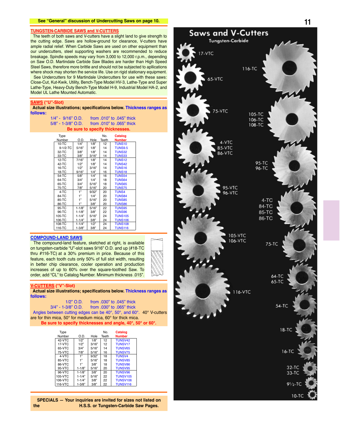#### **TUNGSTEN-CARBIDE SAWS and V-CUTTERS**

The teeth of both saws and V-cutters have a slight land to give strength to the cutting edge. Saws are hollow-ground for clearance, V-cutters have ample radial relief. When Carbide Saws are used on other equipment than our undercutters, steel supporting washers are recommended to reduce breakage. Spindle speeds may vary from 3,000 to 12,000 r.p.m., depending on Saw O.D. Martindale Carbide Saw Blades are harder than High Speed Steel Saws, therefore more brittle and should not be subjected to apllications where shock may shorten the service life. Use on rigid stationary equipment.

See Undercutters for 9 Martindale Undercutters for use with these saws: Close-Cut, Kut-Kwik, Utility, Bench-Type Model HV-3, Lathe-Type and Super Lathe-Type, Heavy-Duty Bench-Type Model H-9, Industrial Model HA-2, and Model UL Lathe Mounted Automatic.

#### **SAWS ("U"-Slot)**

**Actual size illustrations; specifications below. Thickness ranges as follows:**

| $1/4" - 9/16"$ O D    | from .010" to .045" thick       |
|-----------------------|---------------------------------|
| $5/8$ " - 1-3/8" O.D. | from $.010"$ to $.065"$ thick   |
|                       | Be sure to specify thicknesses. |

| Type           |            |       | No.   | Catalog        |
|----------------|------------|-------|-------|----------------|
| Number         | O.D.       | Hole  | Teeth | <b>Number</b>  |
| $10 - TC$      | 1/4"       | 1/8"  | 12    | <b>TUNS10</b>  |
| $9 - 1/2 - TC$ | 5/16"      | 1/8"  | 14    | <b>TUNS9.5</b> |
| 32-TC          | 3/8"       | 1/8"  | 14    | <b>TUNS32</b>  |
| 33-TC          | 3/8"       | 3/16" | 14    | <b>TUNS33</b>  |
| $12-TC$        | 7/16"      | 1/8"  | 14    | <b>TUNS12</b>  |
| 42-TC          | 1/2"       | 1/8"  | 14    | <b>TUNS42</b>  |
| 16-TC          | 1/2"       | 3/16" | 14    | <b>TUNS16</b>  |
| 18-TC          | 9/16"      | 1/4"  | 16    | <b>TUNS18</b>  |
| 54-TC          | 5/8"       | 1/4"  | 16    | <b>TUNS54</b>  |
| 64-TC          | 3/4"       | 1/4"  | 18    | <b>TUNS64</b>  |
| 65-TC          | 3/4"       | 5/16" | 18    | <b>TUNS65</b>  |
| 75-TC          | 7/8"       | 5/16" | 20    | <b>TUNS75</b>  |
| 4-TC           | 1"         | 9/32" | 20    | <b>TUNS4</b>   |
| 84-TC          | 1"         | 1/4"  | 20    | <b>TUNS84</b>  |
| 85-TC          | 1"         | 5/16" | 20    | <b>TUNS85</b>  |
| 86-TC          | 1"         | 3/8"  | 20    | <b>TUNS86</b>  |
| 95-TC          | $1 - 1/8"$ | 5/16" | 22    | <b>TUNS95</b>  |
| 96-TC          | $1 - 1/8"$ | 3/8"  | 22    | <b>TUNS96</b>  |
| 105-TC         | $1 - 1/4"$ | 5/16" | 24    | <b>TUNS105</b> |
| 106-TC         | $1 - 1/4"$ | 3/8"  | 24    | <b>TUNS106</b> |
| 108-TC         | $1 - 1/4"$ | 1/2"  | 24    | <b>TUNS108</b> |
| 116-TC         | $1 - 3/8"$ | 3/8"  | 24    | <b>TUNS116</b> |

#### **COMPOUND-LAND SAWS**

The compound-land feature, sketched at right, is available on tungsten-carbide "U"-slot saws 9/16" O.D. and up (#18-TC thru  $#116$ -TC) at a 30% premium in price. Because of this feature, each tooth cuts only 50% of full slot width, resulting in better chip clearance, cooler operation and production increases of up to 60% over the square-toothed Saw. To order, add "CL" to Catalog Number. Minimum thickness .015".

#### **V-CUTTERS ("V"-Slot)**

**Actual size illustrations; specifications below. Thickness ranges as follows:**

## 1/2" O.D. from .030" to .045" thick<br>3/4" - 1-3/8" O.D. from .030" to .065" thick

from .030" to .065" thick

Angles between cutting edges can be 40°, 50°, and 60°.  $40^{\circ}$  V-cutters are for thin mica,  $50^{\circ}$  for medium mica,  $60^{\circ}$  for thick mica.

**Be sure to specify thicknesses and angle, 40°, 50° or 60°.**

| Type    | O.D.       |       | No.<br>Teeth | Catalog                   |
|---------|------------|-------|--------------|---------------------------|
| Number  |            | Hole  |              | <b>Number</b>             |
| 42-VTC  | 1/2"       | 1/8"  | 12           | TUNSV42                   |
| 17-VTC  | 1/2"       | 3/16" | 12           | <b>TUNSV<sub>17</sub></b> |
| 65-VTC  | 3/4"       | 5/16" | 14           | <b>TUNSV65</b>            |
| 75-VTC  | 7/8"       | 5/16" | 16           | <b>TUNSV75</b>            |
| 4-VTC   | 1"         | 9/32" | 18           | <b>TUNSV4</b>             |
| 85-VTC  | 1"         | 5/16" | 18           | <b>TUNSV85</b>            |
| 86-VTC  | 1"         | 3/8"  | 18           | <b>TUNSV86</b>            |
| 95-VTC  | $1 - 1/8"$ | 5/16" | 20           | <b>TUNSV95</b>            |
| 96-VTC  | $1 - 1/8"$ | 3/8"  | 20           | <b>TUNSV96</b>            |
| 105-VTC | $1 - 1/4"$ | 5/16" | 22           | <b>TUNSV105</b>           |
| 106-VTC | $1 - 1/4"$ | 3/8"  | 22           | <b>TUNSV106</b>           |
| 116-VTC | $1 - 3/8"$ | 3/8"  | 22           | <b>TUNSV116</b>           |

**SPECIALS — Your inquiries are invited for sizes not listed on H.S.S. or Tungsten-Carbide Saw Pages.** 

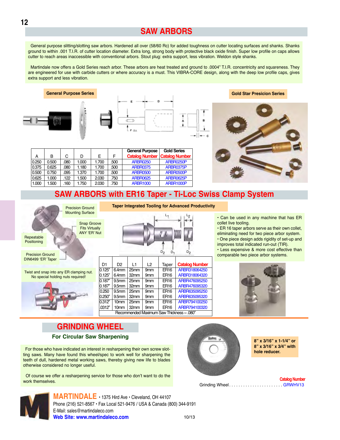### **SAW ARBORS**

General purpose slitting/slotting saw arbors. Hardened all over (58/60 Rc) for added toughness on cutter locating surfaces and shanks. Shanks ground to within .001 T.I.R. of cutter location diameter. Extra long, strong body with protective black oxide finish. Super low profile on caps allows <u>cutter to reach areas inaccessible with conventional arbors. Stout plug: extra support, less vibration. Weldon style shanks.</u>

Martindale now offers a Gold Series reach arbor. These arbors are heat treated and ground to .0004" T.I.R. concentricity and squareness. They are engineered for use with carbide cutters or where accuracy is a must. This VIBRA-CORE design, along with the deep low profile caps, gives extra support and less vibration.







**Gold Star Presicion Series**



#### General Purpose | Gold Series A B C D E F **Catalog Number Catalog Number**<br>0.250 0.500 0.80 1.000 1.700 500 ARBR0250 ARBR0250P 0.250 0.500 0.80 1.000 1.700 500 ARBR0250 ARBR0250P<br>0.375 0.625 0.80 1.180 1.700 500 ARBR0375 ARBR0375P ARBR0375 | ARBR0375F 0.500 0.750 .095 1.370 1.700 .500 ARBR0500 ARBR0500P<br>0.625 1.000 122 1.500 2.030 750 ARBR0625 ARBR0625P 0.625 | 1.000 | .122 | 1.500 | 2.030 | .750 | ARBR0625 | ARBR0625P 1.000 | 1.500 | 1.60 | 1.750 | 2.030 | .750 | ARBR1000 ARBR1000P

### **SAW ARBORS with ER16 Taper - Ti-Loc Swiss Clamp System**

**Taper Integrated Tooling for Advanced Productivity**



 $D_2$   $D_1$   $D_2$ 

| D <sub>1</sub>                            | D <sub>2</sub>    | l 1  | L2              | Taper            | <b>Catalog Number</b> |  |  |
|-------------------------------------------|-------------------|------|-----------------|------------------|-----------------------|--|--|
| 0.125"                                    | 6.4 <sub>mm</sub> | 25mm | 9 <sub>mm</sub> | <b>ER16</b>      | ARBR318064250         |  |  |
| 0.125"                                    | 6.4mm             | 32mm | 9 <sub>mm</sub> | ER <sub>16</sub> | ARBR318064320         |  |  |
| 0.187"                                    | 9.5mm             | 25mm | 9 <sub>mm</sub> | ER <sub>16</sub> | ARBR476095250         |  |  |
| 0.187"                                    | 9.5mm             | 32mm | 9 <sub>mm</sub> | ER <sub>16</sub> | ARBR476095320         |  |  |
| 0.250                                     | 9.5mm             | 25mm | 9 <sub>mm</sub> | <b>ER16</b>      | ARBR635095250         |  |  |
| 0.250"                                    | 9.5 <sub>mm</sub> | 32mm | 9 <sub>mm</sub> | ER <sub>16</sub> | ARBR635095320         |  |  |
| 0.312"                                    | 10 <sub>mm</sub>  | 25mm | 9 <sub>mm</sub> | <b>ER16</b>      | ARBR794100250         |  |  |
| .0312"                                    | 10mm              | 32mm | 9 <sub>mm</sub> | ER <sub>16</sub> | ARBR794100320         |  |  |
| Recommended Maximum Saw Thickness ~ .080" |                   |      |                 |                  |                       |  |  |
|                                           |                   |      |                 |                  |                       |  |  |

#### • Can be used in any machine that has ER collet live tooling.

 $\cdot$  ER 16 taper arbors serve as their own collet, eliminating need for two piece arbor system.

• One piece design adds rigidity of set-up and improves total indicated run-out (TIR).

• Less expensive & more cost effective than comparable two piece arbor systems.



## **GRINDING WHEEL**

For those who have indicated an interest in resharpening their own screw slotting saws. Many have found this wheel/spec to work well for sharpening the teeth of dull, hardened metal working saws, thereby giving new life to blades otherwise considered no longer useful.

Of course we offer a resharpening service for those who don't want to do the work themselves. JBE>G;8@F8?I8F **Catalog Number** !E<A7<A:0;88?                        !+0"/



**8" x 3/16" x 3/4" with hole reducer.**



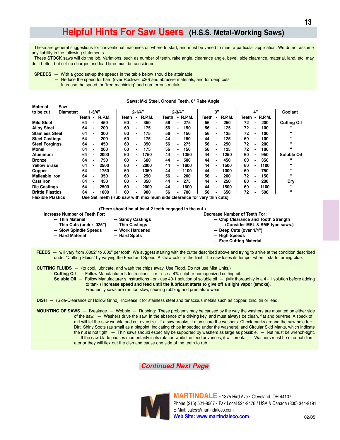## **Helpful Hints For Saw Users (H.S.S. Metal-Working Saws)**

These are general suggestions for conventional machines on where to start, and must be varied to meet a particular application. We do not assume any liability in the following statements.

These STOCK saws will do the job. Variations, such as number of teeth, rake angle, clearance angle, bevel, side clearance, material, land, etc. may do it better, but set-up charges and lead time must be considered.

- $SPEEDS -$  With a good set-up the speeds in the table below should be attainable
	- Reduce the speed for hard (over Rockwell c30) and abrasive materials, and for deep cuts.
	- Increase the speed for "free-machining" and non-ferrous metals.

 $\mathbf{r}$  and  $\mathbf{r}$  and  $\mathbf{r}$ 

Saws: M-2 Steel. Ground Teeth. 0° Rake Angle

| material                 | ວaw       |       |                |                                                                         |       |            |        |       |                          |          |       |    |               |       |                          |               |                    |
|--------------------------|-----------|-------|----------------|-------------------------------------------------------------------------|-------|------------|--------|-------|--------------------------|----------|-------|----|---------------|-------|--------------------------|---------------|--------------------|
| to be cut                | Diameter: |       | $1 - 3/4"$     |                                                                         |       | $2 - 1/4"$ |        |       | $2 - 3/4"$               |          |       | 3" |               |       | 4"                       |               | Coolant            |
|                          |           | Teeth | $\blacksquare$ | R.P.M.                                                                  | Teeth |            | R.P.M. | Teeth |                          | - R.P.M. | Teeth |    | <b>R.P.M.</b> | Teeth | $\blacksquare$           | <b>R.P.M.</b> |                    |
| <b>Mild Steel</b>        |           | 64    | -              | 450                                                                     | 60    | -          | 350    | 56    | -                        | 275      | 56    |    | 250           | 72    | $\blacksquare$           | 200           | <b>Cutting Oil</b> |
| <b>Alloy Steel</b>       |           | 64    |                | 200                                                                     | 60    |            | 175    | 56    |                          | 150      | 56    |    | 125           | 72    |                          | 100           | "                  |
| <b>Stainless Steel</b>   |           | 64    | $\blacksquare$ | 200                                                                     | 60    |            | 175    | 56    | -                        | 150      | 56    |    | 125           | 72    | $\blacksquare$           | 100           | 66                 |
| <b>Steel Castings</b>    |           | 64    |                | 200                                                                     | 60    | -          | 175    | 44    | -                        | 150      | 44    |    | 125           | 60    | $\blacksquare$           | 100           | 66                 |
| <b>Steel Forgings</b>    |           | 64    |                | 450                                                                     | 60    |            | 350    | 56    | $\overline{\phantom{0}}$ | 275      | 56    |    | 250           | 72    |                          | 200           | 66                 |
| Monel                    |           | 64    |                | 200                                                                     | 60    |            | 175    | 56    | $\overline{\phantom{0}}$ | 150      | 56    |    | 125           | 72    | $\blacksquare$           | 100           | 66                 |
| <b>Aluminum</b>          |           | 64    |                | 2000                                                                    | 60    |            | 1750   | 44    |                          | 1350     | 44    |    | 1250          | 60    | $\blacksquare$           | 950           | Soluble Oil        |
| <b>Bronze</b>            |           | 64    |                | 750                                                                     | 60    |            | 600    | 44    | $\overline{\phantom{0}}$ | 500      | 44    |    | 450           | 60    | $\blacksquare$           | 350           | 66                 |
| <b>Yellow Brass</b>      |           | 64    |                | 2500                                                                    | 60    | . .        | 2000   | 44    | -                        | 1600     | 44    |    | 1500          | 60    | $\blacksquare$           | 1100          | 66                 |
| Copper                   |           | 64    |                | 1750                                                                    | 60    |            | 1350   | 44    | -                        | 1100     | 44    |    | 1000          | 60    | -                        | 750           | 66                 |
| <b>Malleable Iron</b>    |           | 64    |                | 350                                                                     | 60    |            | 250    | 56    |                          | 200      | 56    |    | 200           | 72    | $\blacksquare$           | 150           | 66                 |
| <b>Cast Iron</b>         |           | 64    |                | 450                                                                     | 60    |            | 350    | 44    |                          | 275      | 44    |    | 250           | 60    | $\overline{\phantom{0}}$ | 200           | Dry                |
| <b>Die Castings</b>      |           | 64    |                | 2500                                                                    | 60    |            | 2000   | 44    | -                        | 1600     | 44    |    | 1500          | 60    | $\blacksquare$           | 1100          | 66                 |
| <b>Brittle Plastics</b>  |           | 64    | $\blacksquare$ | 1000                                                                    | 60    |            | 900    | 56    | $\overline{\phantom{0}}$ | 700      | 56    |    | 650           | 72    | $\blacksquare$           | 500           | 66                 |
| <b>Elevible Disctice</b> |           |       |                | Llee Set Teeth (Huh caw with mayimum cide clearance for yery thin cute) |       |            |        |       |                          |          |       |    |               |       |                          |               |                    |

se Set Teeth (Hub saw with maximum side clearance for very thin cuts)

(There should be at least 2 teeth engaged in the cut.)

| Increase Number of Teeth For: |                  | Decrease Number of Teeth For:       |
|-------------------------------|------------------|-------------------------------------|
| - Thin Material               | - Sandy Castings | - Chip Clearance and Tooth Strength |
| - Thin Cuts (under .025")     | - Thin Castings  | (Consider MSL & SMF type saws.)     |
| - Slow Spindle Speeds         | - Work Hardened  | $-$ Deep Cuts (over 1/4")           |
| - Hard Material               | - Hard Spots     | - High Speeds                       |
|                               |                  | - Free Cutting Material             |

FEEDS - will vary from .0002" to .002" per tooth. We suggest starting with the cutter described above and trying to arrive at the condition described under "Cutting Fluids" by varying the Feed and Speed. A straw color is the limit. The saw loses its temper when it starts turning blue.

**CUTTING FLUIDS** - (to cool, lubricate, and wash the chips away. Use Flood. Do not use Mist Units.)

- Cutting Oil Follow Manufacturer's Instructions or use a 4% sulphur homogenized cutting oil.
- Soluble Oil Follow Manufacturer's Instructions or use 40-1 solution of soluble oil (Mix thoroughly in a 4 1 solution before adding to tank.) Increase speed and feed until the lubricant starts to give off a slight vapor (smoke). Frequently saws are run too slow, causing rubbing and premature wear.

DISH - (Side-Clearance or Hollow Grind) Increase it for stainless steel and tenacious metals such as copper, zinc, tin or lead.

MOUNTING OF SAWS - Breakage - Wobble - Rubbing: These problems may be caused by the way the washers are mounted on either side of the saw. — Washers drive the saw, in the absence of a driving key, and must always be clean, flat and bur-free. A speck of dirt will let the saw wobble and cut oversize. If a saw breaks, it may score the washers. Check marks around the saw hole for: Dirt, Shiny Spots (as small as a pinpoint, indicating chips imbedded under the washers), and Circular Skid Marks, which indicate the nut is not tight. - Thin saws should especially be supported by washers as large as possible. - Nut must be wrench-tight. - If the saw blade pauses momentarily in its rotation while the feed advances, it will break. - Washers must be of equal diameter or they will flex out the dish and cause one side of the teeth to rub.

**Continued Next Page** 



MARTINDALE · 1375 Hird Ave · Cleveland, OH 44107 Phone (216) 521-8567 · Fax Local 521-9476 / USA & Canada (800) 344-9191 E-Mail: sales@martindaleco.com Web Site: www.martindaleco.com  $02/05$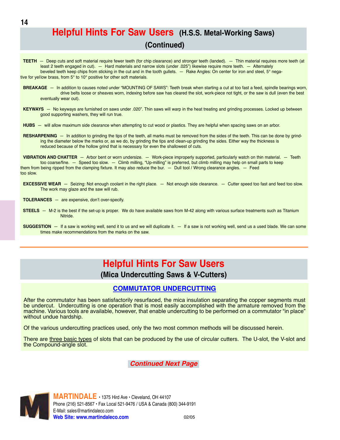## **Helpful Hints For Saw Users (H.S.S. Metal-Working Saws) (Continued)**

- **TEETH** Deep cuts and soft material require fewer teeth (for chip clearance) and stronger teeth (landed). Thin material requires more teeth (at least 2 teeth engaged in cut). — Hard materials and narrow slots (under .025") likewise require more teeth. — Alternately beveled teeth keep chips from sticking in the cut and in the tooth gullets. — Rake Angles: On center for iron and steel, 5° negative for yellow brass, from 5 $^{\circ}$  to 10 $^{\circ}$  positive for other soft materials.
- **BREAKAGE** In addition to causes noted under "MOUNTING OF SAWS": Teeth break when starting a cut at too fast a feed, spindle bearings worn, drive belts loose or sheaves worn, indexing before saw has cleared the slot, work-piece not tight, or the saw is dull (even the best eventually wear out).
- **KEYWAYS** No keyways are furnished on saws under .020". Thin saws will warp in the heat treating and grinding processes. Locked up between good supporting washers, they will run true.
- **HUBS** will allow maximum side clearance when attempting to cut wood or plastics. They are helpful when spacing saws on an arbor.
- **RESHARPENING**  $-$  In addition to grinding the tips of the teeth, all marks must be removed from the sides of the teeth. This can be done by grinding the diameter below the marks or, as we do, by grinding the tips and clean-up grinding the sides. Either way the thickness is reduced because of the hollow grind that is necessary for even the shallowest of cuts.

**VIBRATION AND CHATTER**  $-$  Arbor bent or worn undersize.  $-$  Work-piece improperly supported, particularly watch on thin material.  $-$  Teeth too coarse/fine. — Speed too slow. — Climb milling, "Up-milling" is preferred, but climb milling may help on small parts to keep them from being ripped from the clamping fixture. It may also reduce the bur.  $-$  Dull tool / Wrong clearance angles.  $-$  Feed too slow

**EXCESSIVE WEAR** - Seizing: Not enough coolant in the right place. - Not enough side clearance. - Cutter speed too fast and feed too slow. The work may glaze and the saw will rub.

**TOLERANCES** - are expensive, don't over-specify.

- **STEELS** M-2 is the best if the set-up is proper. We do have available saws from M-42 along with various surface treatments such as Titanium Nitride
- $\textsf{SUGGESTION} \ -$  If a saw is working well, send it to us and we will duplicate it.  $-$  If a saw is not working well, send us a used blade. We can some times make recommendations from the marks on the saw.

## **Helpful Hints For Saw Users**

### **(Mica Undercutting Saws & V-Cutters)**

### **COMMUTATOR UNDERCUTTING**

After the commutator has been satisfactorily resurfaced, the mica insulation separating the copper segments must be undercut. Undercutting is one operation that is most easily accomplished with the armature removed from the machine. Various tools are available, however, that enable undercutting to be performed on a commutator "in place" without undue hardship.

Of the various undercutting practices used, only the two most common methods will be discussed herein.

There are <u>three basic types</u> of slots that can be produced by the use of circular cutters. The U-slot, the V-slot and the Compound-angle slot.

*Continued Next Page*

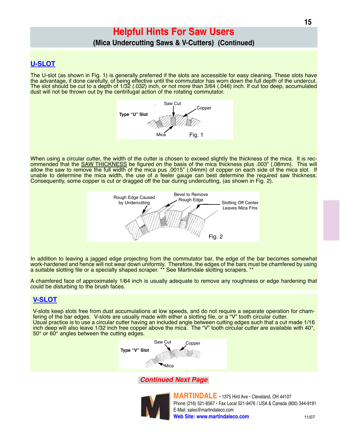## **Helpful Hints For Saw Users**

### (Mica Undercutting Saws & V-Cutters) (Continued)

### **U-SLOT**

The U-slot (as shown in Fig. 1) is generally preferred if the slots are accessible for easy cleaning. These slots have the advantage, if done carefully, of being effective until the commutator has worn down the full depth of the undercut. The slot should be cut to a depth of 1/32 (.032) inch, or not more than 3/64 (.046) inch. If cut too deep, accumulated dust will not be thrown out by the centrifugal action of the rotating commutator.



When using a circular cutter, the width of the cutter is chosen to exceed slightly the thickness of the mica. It is recommended that the SAW THICKNESS be figured on the basis of the mica thickness plus .003" (.08mm). This allow the saw to remove the full width of the mica pus .0015" (.04mm) of copper on each side of the mica slot. If<br>unable to determine the mica width, the use of a feeler gauge can best determine the required saw thickness. Consequently, some copper is cut or dragged off the bar during undercutting, (as shown in Fig. 2).



In addition to leaving a jagged edge projecting from the commutator bar, the edge of the bar becomes somewhat work-hardened and hence will not wear down uniformly. Therefore, the edges of the bars must be chamfered by using a suitable slotting file or a specialty shaped scraper. \*\* See Martindale slotting scrapers. \*\*

A chamfered face of approximately 1/64 inch is usually adequate to remove any roughness or edge hardening that could be disturbing to the brush faces.

### **V-SLOT**

V-slots keep slots free from dust accumulations at low speeds, and do not require a separate operation for chamfering of the bar edges. V-slots are usually made with either a slotting file, or a "V" tooth circular cutter. Usual practice is to use a circular cutter having an included angle between cutting edges such that a cut made 1/16 inch deep will also leave 1/32 inch free copper above the mica. The "V" tooth circular cutter are available with 40°,  $50^\circ$  or 60 $^\circ$  angles between the cutting edges.



### **Continued Next Page**



MARTINDALE · 1375 Hird Ave · Cleveland, OH 44107 Phone (216) 521-8567 · Fax Local 521-9476 / USA & Canada (800) 344-9191 E-Mail: sales@martindaleco.com Web Site: www.martindaleco.com  $11/07$